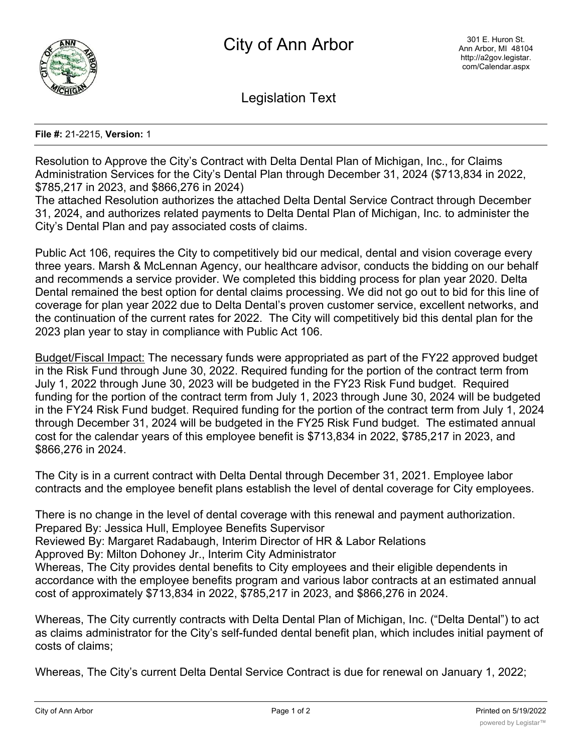

Legislation Text

## **File #:** 21-2215, **Version:** 1

Resolution to Approve the City's Contract with Delta Dental Plan of Michigan, Inc., for Claims Administration Services for the City's Dental Plan through December 31, 2024 (\$713,834 in 2022, \$785,217 in 2023, and \$866,276 in 2024)

The attached Resolution authorizes the attached Delta Dental Service Contract through December 31, 2024, and authorizes related payments to Delta Dental Plan of Michigan, Inc. to administer the City's Dental Plan and pay associated costs of claims.

Public Act 106, requires the City to competitively bid our medical, dental and vision coverage every three years. Marsh & McLennan Agency, our healthcare advisor, conducts the bidding on our behalf and recommends a service provider. We completed this bidding process for plan year 2020. Delta Dental remained the best option for dental claims processing. We did not go out to bid for this line of coverage for plan year 2022 due to Delta Dental's proven customer service, excellent networks, and the continuation of the current rates for 2022. The City will competitively bid this dental plan for the 2023 plan year to stay in compliance with Public Act 106.

Budget/Fiscal Impact: The necessary funds were appropriated as part of the FY22 approved budget in the Risk Fund through June 30, 2022. Required funding for the portion of the contract term from July 1, 2022 through June 30, 2023 will be budgeted in the FY23 Risk Fund budget. Required funding for the portion of the contract term from July 1, 2023 through June 30, 2024 will be budgeted in the FY24 Risk Fund budget. Required funding for the portion of the contract term from July 1, 2024 through December 31, 2024 will be budgeted in the FY25 Risk Fund budget. The estimated annual cost for the calendar years of this employee benefit is \$713,834 in 2022, \$785,217 in 2023, and \$866,276 in 2024.

The City is in a current contract with Delta Dental through December 31, 2021. Employee labor contracts and the employee benefit plans establish the level of dental coverage for City employees.

There is no change in the level of dental coverage with this renewal and payment authorization. Prepared By: Jessica Hull, Employee Benefits Supervisor Reviewed By: Margaret Radabaugh, Interim Director of HR & Labor Relations Approved By: Milton Dohoney Jr., Interim City Administrator

Whereas, The City provides dental benefits to City employees and their eligible dependents in accordance with the employee benefits program and various labor contracts at an estimated annual cost of approximately \$713,834 in 2022, \$785,217 in 2023, and \$866,276 in 2024.

Whereas, The City currently contracts with Delta Dental Plan of Michigan, Inc. ("Delta Dental") to act as claims administrator for the City's self-funded dental benefit plan, which includes initial payment of costs of claims;

Whereas, The City's current Delta Dental Service Contract is due for renewal on January 1, 2022;